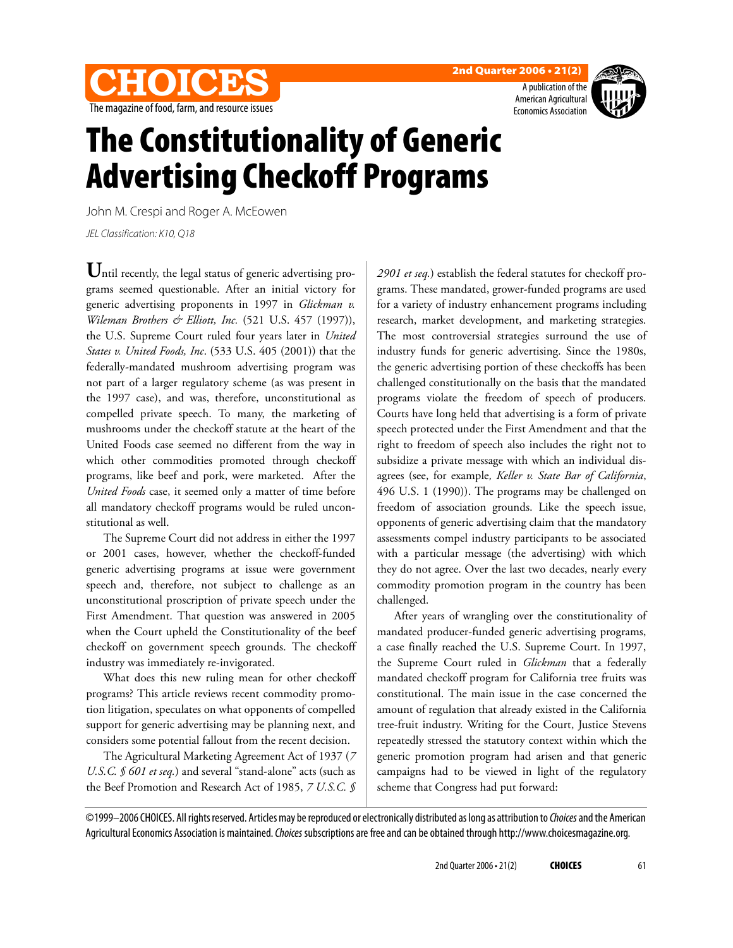



A publication of the American Agricultural Economics Association



## **The Constitutionality of Generic Advertising Checkoff Programs**

John M. Crespi and Roger A. McEowen

JEL Classification: K10, Q18

Until recently, the legal status of generic advertising programs seemed questionable. After an initial victory for generic advertising proponents in 1997 in *Glickman v. Wileman Brothers & Elliott, Inc.* (521 U.S. 457 (1997)), the U.S. Supreme Court ruled four years later in *United States v. United Foods, Inc*. (533 U.S. 405 (2001)) that the federally-mandated mushroom advertising program was not part of a larger regulatory scheme (as was present in the 1997 case), and was, therefore, unconstitutional as compelled private speech. To many, the marketing of mushrooms under the checkoff statute at the heart of the United Foods case seemed no different from the way in which other commodities promoted through checkoff programs, like beef and pork, were marketed. After the *United Foods* case, it seemed only a matter of time before all mandatory checkoff programs would be ruled unconstitutional as well.

The Supreme Court did not address in either the 1997 or 2001 cases, however, whether the checkoff-funded generic advertising programs at issue were government speech and, therefore, not subject to challenge as an unconstitutional proscription of private speech under the First Amendment. That question was answered in 2005 when the Court upheld the Constitutionality of the beef checkoff on government speech grounds. The checkoff industry was immediately re-invigorated.

What does this new ruling mean for other checkoff programs? This article reviews recent commodity promotion litigation, speculates on what opponents of compelled support for generic advertising may be planning next, and considers some potential fallout from the recent decision.

The Agricultural Marketing Agreement Act of 1937 (*7 U.S.C. § 601 et seq.*) and several "stand-alone" acts (such as the Beef Promotion and Research Act of 1985, *7 U.S.C. §*

*2901 et seq.*) establish the federal statutes for checkoff programs. These mandated, grower-funded programs are used for a variety of industry enhancement programs including research, market development, and marketing strategies. The most controversial strategies surround the use of industry funds for generic advertising. Since the 1980s, the generic advertising portion of these checkoffs has been challenged constitutionally on the basis that the mandated programs violate the freedom of speech of producers. Courts have long held that advertising is a form of private speech protected under the First Amendment and that the right to freedom of speech also includes the right not to subsidize a private message with which an individual disagrees (see, for example*, Keller v. State Bar of California*, 496 U.S. 1 (1990)). The programs may be challenged on freedom of association grounds. Like the speech issue, opponents of generic advertising claim that the mandatory assessments compel industry participants to be associated with a particular message (the advertising) with which they do not agree. Over the last two decades, nearly every commodity promotion program in the country has been challenged.

After years of wrangling over the constitutionality of mandated producer-funded generic advertising programs, a case finally reached the U.S. Supreme Court. In 1997, the Supreme Court ruled in *Glickman* that a federally mandated checkoff program for California tree fruits was constitutional. The main issue in the case concerned the amount of regulation that already existed in the California tree-fruit industry. Writing for the Court, Justice Stevens repeatedly stressed the statutory context within which the generic promotion program had arisen and that generic campaigns had to be viewed in light of the regulatory scheme that Congress had put forward:

©1999–2006 CHOICES. All rights reserved. Articles may be reproduced or electronically distributed as long as attribution to Choices and the American Agricultural Economics Association is maintained. Choices subscriptions are free and can be obtained through http://www.choicesmagazine.org.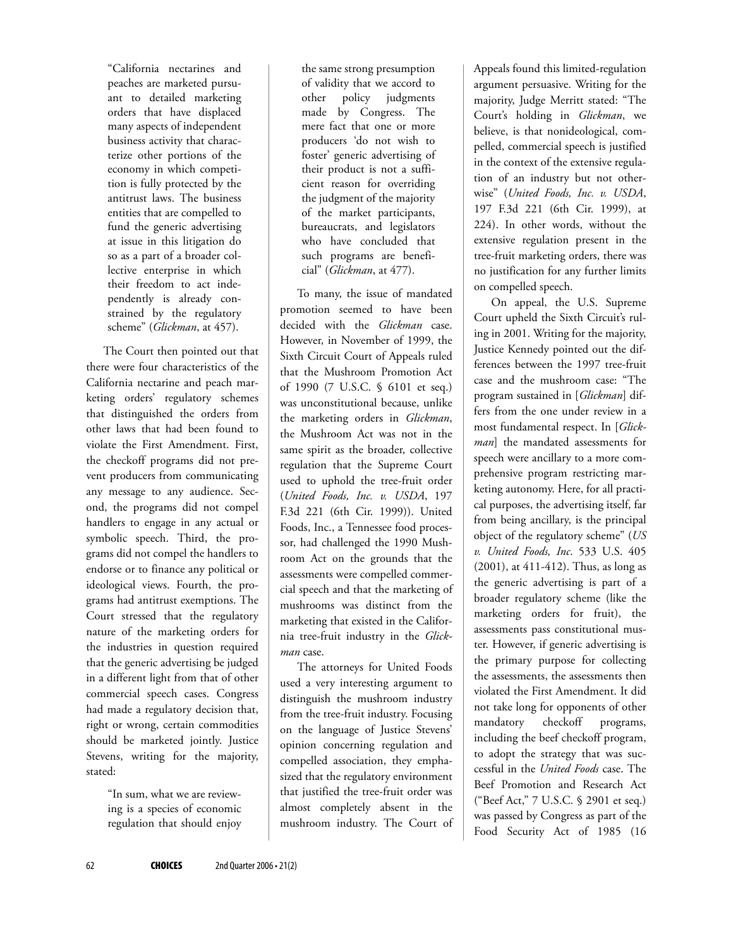"California nectarines and peaches are marketed pursuant to detailed marketing orders that have displaced many aspects of independent business activity that characterize other portions of the economy in which competition is fully protected by the antitrust laws. The business entities that are compelled to fund the generic advertising at issue in this litigation do so as a part of a broader collective enterprise in which their freedom to act independently is already constrained by the regulatory scheme" (*Glickman*, at 457).

The Court then pointed out that there were four characteristics of the California nectarine and peach marketing orders' regulatory schemes that distinguished the orders from other laws that had been found to violate the First Amendment. First, the checkoff programs did not prevent producers from communicating any message to any audience. Second, the programs did not compel handlers to engage in any actual or symbolic speech. Third, the programs did not compel the handlers to endorse or to finance any political or ideological views. Fourth, the programs had antitrust exemptions. The Court stressed that the regulatory nature of the marketing orders for the industries in question required that the generic advertising be judged in a different light from that of other commercial speech cases. Congress had made a regulatory decision that, right or wrong, certain commodities should be marketed jointly. Justice Stevens, writing for the majority, stated:

> "In sum, what we are reviewing is a species of economic regulation that should enjoy

the same strong presumption of validity that we accord to other policy judgments made by Congress. The mere fact that one or more producers 'do not wish to foster' generic advertising of their product is not a sufficient reason for overriding the judgment of the majority of the market participants, bureaucrats, and legislators who have concluded that such programs are beneficial" (*Glickman*, at 477).

To many, the issue of mandated promotion seemed to have been decided with the *Glickman* case. However, in November of 1999, the Sixth Circuit Court of Appeals ruled that the Mushroom Promotion Act of 1990 (7 U.S.C. § 6101 et seq.) was unconstitutional because, unlike the marketing orders in *Glickman*, the Mushroom Act was not in the same spirit as the broader, collective regulation that the Supreme Court used to uphold the tree-fruit order (*United Foods, Inc. v. USDA*, 197 F.3d 221 (6th Cir. 1999)). United Foods, Inc., a Tennessee food processor, had challenged the 1990 Mushroom Act on the grounds that the assessments were compelled commercial speech and that the marketing of mushrooms was distinct from the marketing that existed in the California tree-fruit industry in the *Glickman* case.

The attorneys for United Foods used a very interesting argument to distinguish the mushroom industry from the tree-fruit industry. Focusing on the language of Justice Stevens' opinion concerning regulation and compelled association, they emphasized that the regulatory environment that justified the tree-fruit order was almost completely absent in the mushroom industry. The Court of Appeals found this limited-regulation argument persuasive. Writing for the majority, Judge Merritt stated: "The Court's holding in *Glickman*, we believe, is that nonideological, compelled, commercial speech is justified in the context of the extensive regulation of an industry but not otherwise" (*United Foods, Inc. v. USDA*, 197 F.3d 221 (6th Cir. 1999), at 224). In other words, without the extensive regulation present in the tree-fruit marketing orders, there was no justification for any further limits on compelled speech.

On appeal, the U.S. Supreme Court upheld the Sixth Circuit's ruling in 2001. Writing for the majority, Justice Kennedy pointed out the differences between the 1997 tree-fruit case and the mushroom case: "The program sustained in [*Glickman*] differs from the one under review in a most fundamental respect. In [*Glickman*] the mandated assessments for speech were ancillary to a more comprehensive program restricting marketing autonomy. Here, for all practical purposes, the advertising itself, far from being ancillary, is the principal object of the regulatory scheme" (*US v. United Foods, Inc*. 533 U.S. 405 (2001), at 411-412). Thus, as long as the generic advertising is part of a broader regulatory scheme (like the marketing orders for fruit), the assessments pass constitutional muster. However, if generic advertising is the primary purpose for collecting the assessments, the assessments then violated the First Amendment. It did not take long for opponents of other mandatory checkoff programs, including the beef checkoff program, to adopt the strategy that was successful in the *United Foods* case. The Beef Promotion and Research Act ("Beef Act," 7 U.S.C. § 2901 et seq.) was passed by Congress as part of the Food Security Act of 1985 (16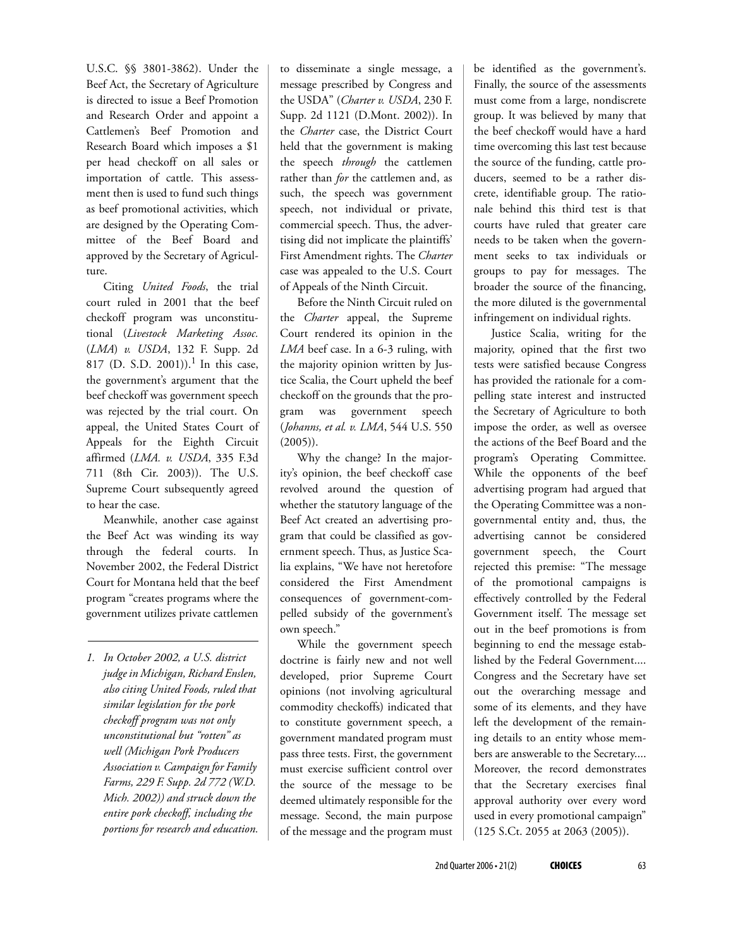U.S.C. §§ 3801-3862). Under the Beef Act, the Secretary of Agriculture is directed to issue a Beef Promotion and Research Order and appoint a Cattlemen's Beef Promotion and Research Board which imposes a \$1 per head checkoff on all sales or importation of cattle. This assessment then is used to fund such things as beef promotional activities, which are designed by the Operating Committee of the Beef Board and approved by the Secretary of Agriculture.

Citing *United Foods*, the trial court ruled in 2001 that the beef checkoff program was unconstitutional (*Livestock Marketing Assoc.* (*LMA*) *v. USDA*, 132 F. Supp. 2d 817 (D. S.D. 2001)).<sup>1</sup> In this case, the government's argument that the beef checkoff was government speech was rejected by the trial court. On appeal, the United States Court of Appeals for the Eighth Circuit affirmed (*LMA. v. USDA*, 335 F.3d 711 (8th Cir. 2003)). The U.S. Supreme Court subsequently agreed to hear the case.

Meanwhile, another case against the Beef Act was winding its way through the federal courts. In November 2002, the Federal District Court for Montana held that the beef program "creates programs where the government utilizes private cattlemen

*1. In October 2002, a U.S. district judge in Michigan, Richard Enslen, also citing United Foods, ruled that similar legislation for the pork checkoff program was not only unconstitutional but "rotten" as well (Michigan Pork Producers Association v. Campaign for Family Farms, 229 F. Supp. 2d 772 (W.D. Mich. 2002)) and struck down the entire pork checkoff, including the portions for research and education.*

to disseminate a single message, a message prescribed by Congress and the USDA" (*Charter v. USDA*, 230 F. Supp. 2d 1121 (D.Mont. 2002)). In the *Charter* case, the District Court held that the government is making the speech *through* the cattlemen rather than *for* the cattlemen and, as such, the speech was government speech, not individual or private, commercial speech. Thus, the advertising did not implicate the plaintiffs' First Amendment rights. The *Charter* case was appealed to the U.S. Court of Appeals of the Ninth Circuit.

Before the Ninth Circuit ruled on the *Charter* appeal, the Supreme Court rendered its opinion in the *LMA* beef case. In a 6-3 ruling, with the majority opinion written by Justice Scalia, the Court upheld the beef checkoff on the grounds that the program was government speech (*Johanns, et al. v. LMA*, 544 U.S. 550 (2005)).

Why the change? In the majority's opinion, the beef checkoff case revolved around the question of whether the statutory language of the Beef Act created an advertising program that could be classified as government speech. Thus, as Justice Scalia explains, "We have not heretofore considered the First Amendment consequences of government-compelled subsidy of the government's own speech."

While the government speech doctrine is fairly new and not well developed, prior Supreme Court opinions (not involving agricultural commodity checkoffs) indicated that to constitute government speech, a government mandated program must pass three tests. First, the government must exercise sufficient control over the source of the message to be deemed ultimately responsible for the message. Second, the main purpose of the message and the program must

be identified as the government's. Finally, the source of the assessments must come from a large, nondiscrete group. It was believed by many that the beef checkoff would have a hard time overcoming this last test because the source of the funding, cattle producers, seemed to be a rather discrete, identifiable group. The rationale behind this third test is that courts have ruled that greater care needs to be taken when the government seeks to tax individuals or groups to pay for messages. The broader the source of the financing, the more diluted is the governmental infringement on individual rights.

Justice Scalia, writing for the majority, opined that the first two tests were satisfied because Congress has provided the rationale for a compelling state interest and instructed the Secretary of Agriculture to both impose the order, as well as oversee the actions of the Beef Board and the program's Operating Committee. While the opponents of the beef advertising program had argued that the Operating Committee was a nongovernmental entity and, thus, the advertising cannot be considered government speech, the Court rejected this premise: "The message of the promotional campaigns is effectively controlled by the Federal Government itself. The message set out in the beef promotions is from beginning to end the message established by the Federal Government.... Congress and the Secretary have set out the overarching message and some of its elements, and they have left the development of the remaining details to an entity whose members are answerable to the Secretary.... Moreover, the record demonstrates that the Secretary exercises final approval authority over every word used in every promotional campaign" (125 S.Ct. 2055 at 2063 (2005)).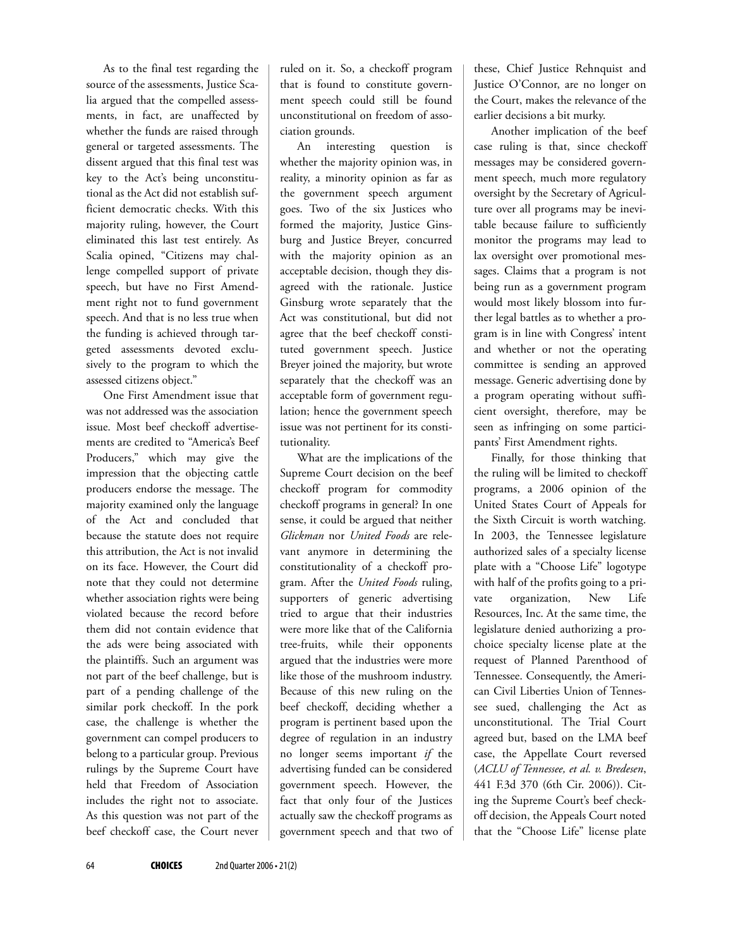As to the final test regarding the source of the assessments, Justice Scalia argued that the compelled assessments, in fact, are unaffected by whether the funds are raised through general or targeted assessments. The dissent argued that this final test was key to the Act's being unconstitutional as the Act did not establish sufficient democratic checks. With this majority ruling, however, the Court eliminated this last test entirely. As Scalia opined, "Citizens may challenge compelled support of private speech, but have no First Amendment right not to fund government speech. And that is no less true when the funding is achieved through targeted assessments devoted exclusively to the program to which the assessed citizens object."

One First Amendment issue that was not addressed was the association issue. Most beef checkoff advertisements are credited to "America's Beef Producers," which may give the impression that the objecting cattle producers endorse the message. The majority examined only the language of the Act and concluded that because the statute does not require this attribution, the Act is not invalid on its face. However, the Court did note that they could not determine whether association rights were being violated because the record before them did not contain evidence that the ads were being associated with the plaintiffs. Such an argument was not part of the beef challenge, but is part of a pending challenge of the similar pork checkoff. In the pork case, the challenge is whether the government can compel producers to belong to a particular group. Previous rulings by the Supreme Court have held that Freedom of Association includes the right not to associate. As this question was not part of the beef checkoff case, the Court never

ruled on it. So, a checkoff program that is found to constitute government speech could still be found unconstitutional on freedom of association grounds.

An interesting question is whether the majority opinion was, in reality, a minority opinion as far as the government speech argument goes. Two of the six Justices who formed the majority, Justice Ginsburg and Justice Breyer, concurred with the majority opinion as an acceptable decision, though they disagreed with the rationale. Justice Ginsburg wrote separately that the Act was constitutional, but did not agree that the beef checkoff constituted government speech. Justice Breyer joined the majority, but wrote separately that the checkoff was an acceptable form of government regulation; hence the government speech issue was not pertinent for its constitutionality.

What are the implications of the Supreme Court decision on the beef checkoff program for commodity checkoff programs in general? In one sense, it could be argued that neither *Glickman* nor *United Foods* are relevant anymore in determining the constitutionality of a checkoff program. After the *United Foods* ruling, supporters of generic advertising tried to argue that their industries were more like that of the California tree-fruits, while their opponents argued that the industries were more like those of the mushroom industry. Because of this new ruling on the beef checkoff, deciding whether a program is pertinent based upon the degree of regulation in an industry no longer seems important *if* the advertising funded can be considered government speech. However, the fact that only four of the Justices actually saw the checkoff programs as government speech and that two of these, Chief Justice Rehnquist and Justice O'Connor, are no longer on the Court, makes the relevance of the earlier decisions a bit murky.

Another implication of the beef case ruling is that, since checkoff messages may be considered government speech, much more regulatory oversight by the Secretary of Agriculture over all programs may be inevitable because failure to sufficiently monitor the programs may lead to lax oversight over promotional messages. Claims that a program is not being run as a government program would most likely blossom into further legal battles as to whether a program is in line with Congress' intent and whether or not the operating committee is sending an approved message. Generic advertising done by a program operating without sufficient oversight, therefore, may be seen as infringing on some participants' First Amendment rights.

Finally, for those thinking that the ruling will be limited to checkoff programs, a 2006 opinion of the United States Court of Appeals for the Sixth Circuit is worth watching. In 2003, the Tennessee legislature authorized sales of a specialty license plate with a "Choose Life" logotype with half of the profits going to a private organization, New Life Resources, Inc. At the same time, the legislature denied authorizing a prochoice specialty license plate at the request of Planned Parenthood of Tennessee. Consequently, the American Civil Liberties Union of Tennessee sued, challenging the Act as unconstitutional. The Trial Court agreed but, based on the LMA beef case, the Appellate Court reversed (*ACLU of Tennessee, et al. v. Bredesen*, 441 F.3d 370 (6th Cir. 2006)). Citing the Supreme Court's beef checkoff decision, the Appeals Court noted that the "Choose Life" license plate